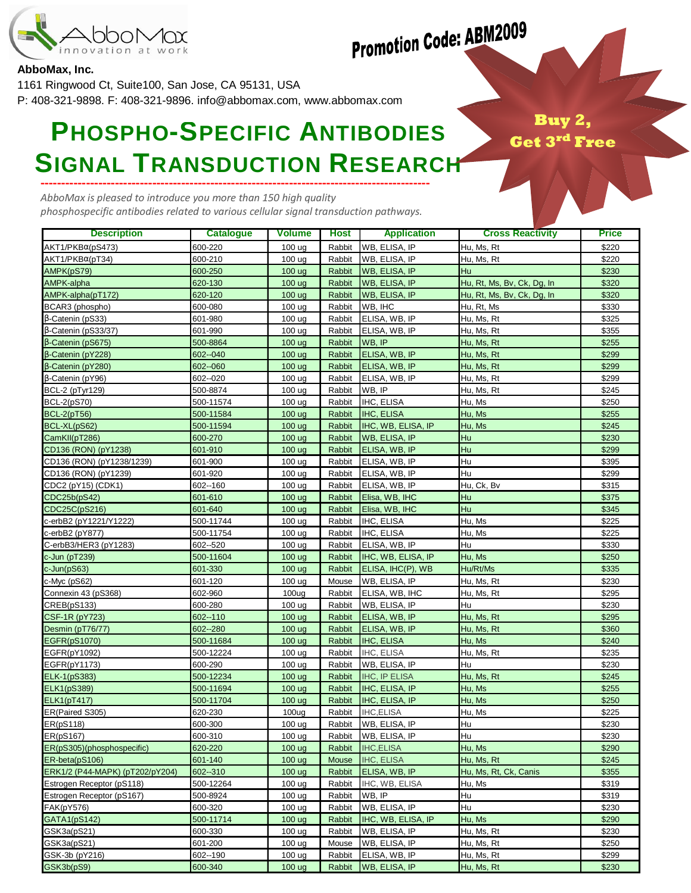

## **Promotion Code: ABM2009**

## **AbboMax, Inc.**

1161 Ringwood Ct, Suite100, San Jose, CA 95131, USA

P: 408-321-9898. F: 408-321-9896. info@abbomax.com, www.abbomax.com

## ---------------------------------------------------------------------------------------------- **PHOSPHO-SPECIFIC ANTIBODIES SIGNAL TRANSDUCTION RESEARCH**

Buy  $\bf{G}$ et

AbboMax is pleased to introduce you more than 150 high quality phosphospecific antibodies related to various cellular signal transduction pathways.

| <b>Description</b>                       | <b>Catalogue</b>     | <b>Volume</b>     | <b>Host</b>      | <b>Application</b>      | <b>Cross Reactivity</b>    | <b>Price</b>   |
|------------------------------------------|----------------------|-------------------|------------------|-------------------------|----------------------------|----------------|
| AKT1/PKBα(pS473)                         | 600-220              | 100 ug            | Rabbit           | WB, ELISA, IP           | Hu, Ms, Rt                 | \$220          |
| AKT1/PKBα(pT34)                          | 600-210              | 100 <sub>ug</sub> | Rabbit           | WB, ELISA, IP           | Hu, Ms, Rt                 | \$220          |
| AMPK(pS79)                               | 600-250              | 100 ug            | Rabbit           | <b>WB, ELISA, IP</b>    | Hu                         | \$230          |
| AMPK-alpha                               | 620-130              | 100 ug            | Rabbit           | WB, ELISA, IP           | Hu, Rt, Ms, Bv, Ck, Dg, In | \$320          |
| AMPK-alpha(pT172)                        | 620-120              | 100 ug            | Rabbit           | <b>WB, ELISA, IP</b>    | Hu, Rt, Ms, Bv, Ck, Dg, In | \$320          |
| BCAR3 (phospho)                          | 600-080              | 100 ug            | Rabbit           | WB, IHC                 | Hu, Rt, Ms                 | \$330          |
| β-Catenin (pS33)                         | 601-980              | 100 <sub>ug</sub> | Rabbit           | ELISA, WB, IP           | Hu, Ms, Rt                 | \$325          |
| β-Catenin (pS33/37)                      | 601-990              | 100 <sub>ug</sub> | Rabbit           | ELISA, WB, IP           | Hu, Ms, Rt                 | \$355          |
| β-Catenin (pS675)                        | 500-8864             | 100 <sub>ug</sub> | Rabbit           | WB, IP                  | Hu, Ms, Rt                 | \$255          |
| β-Catenin (pY228)                        | 602--040             | 100 ug            | Rabbit           | ELISA, WB, IP           | Hu, Ms, Rt                 | \$299          |
| β-Catenin (pY280)                        | 602--060             | 100 ug            | Rabbit           | ELISA, WB, IP           | Hu, Ms, Rt                 | \$299          |
| β-Catenin (pY96)                         | 602--020             | 100 ug            | Rabbit           | ELISA, WB, IP           | Hu, Ms, Rt                 | \$299          |
| BCL-2 (pTyr129)                          | 500-8874             | 100 <sub>ug</sub> | Rabbit           | WB, IP                  | Hu, Ms, Rt                 | \$245          |
| <b>BCL-2(pS70)</b>                       | 500-11574            | 100 <sub>ug</sub> | Rabbit           | IHC, ELISA              | Hu, Ms                     | \$250          |
| <b>BCL-2(pT56)</b>                       | 500-11584            | 100 <sub>ug</sub> | Rabbit           | <b>IHC, ELISA</b>       | Hu, Ms                     | \$255          |
| BCL-XL(pS62)                             | 500-11594            | 100 ug            | Rabbit           | IHC, WB, ELISA, IP      | Hu, Ms                     | \$245          |
| CamKII(pT286)                            | 600-270              | 100 <sub>ug</sub> | Rabbit           | <b>WB, ELISA, IP</b>    | Hu                         | \$230          |
| CD136 (RON) (pY1238)                     | 601-910              | 100 ug            | Rabbit           | ELISA, WB, IP           | Hu                         | \$299          |
| CD136 (RON) (pY1238/1239)                | 601-900              | 100 ug            | Rabbit           | ELISA, WB, IP           | Hu                         | \$395          |
| CD136 (RON) (pY1239)                     | 601-920              | 100 ug            | Rabbit           | ELISA, WB, IP           | Hu                         | \$299          |
| CDC2 (pY15) (CDK1)                       | 602--160             | 100 ug            | Rabbit           | ELISA, WB, IP           | Hu, Ck, Bv                 | \$315          |
| CDC25b(pS42)                             | 601-610              | 100 ug            | Rabbit           | Elisa, WB, IHC          | Hu                         | \$375          |
| CDC25C(pS216)                            | 601-640              | 100 <sub>ug</sub> | Rabbit           | Elisa, WB, IHC          | Hu                         | \$345          |
| c-erbB2 (pY1221/Y1222)                   | 500-11744            | 100 <sub>ug</sub> | Rabbit           | IHC, ELISA              | Hu, Ms                     | \$225          |
| c-erbB2 (pY877)                          | 500-11754            | 100 ug            | Rabbit           | IHC, ELISA              | Hu, Ms                     | \$225          |
| C-erbB3/HER3 (pY1283)                    | 602--520             | 100 ug            | Rabbit           | ELISA, WB, IP           | Hu                         | \$330          |
| c-Jun (pT239)                            | 500-11604            | 100 <sub>ug</sub> | Rabbit           | IHC, WB, ELISA, IP      | Hu, Ms                     | \$250          |
| $c$ -Jun $(pS63)$                        | 601-330              | 100 <sub>ug</sub> | Rabbit           | ELISA, IHC(P), WB       | Hu/Rt/Ms                   | \$335          |
| c-Myc (pS62)                             | 601-120              | 100 ug            | Mouse            | WB, ELISA, IP           | Hu, Ms, Rt                 | \$230          |
| Connexin 43 (pS368)                      | 602-960              | 100 <sub>ug</sub> | Rabbit           | ELISA, WB, IHC          | Hu, Ms, Rt                 | \$295          |
| CREB(pS133)                              | 600-280              | 100 <sub>ug</sub> | Rabbit           | WB, ELISA, IP           | Hu                         | \$230          |
| CSF-1R (pY723)                           | 602--110             | 100 ug            | Rabbit           | ELISA, WB, IP           | Hu, Ms, Rt                 | \$295          |
| Desmin (pT76/77)                         | 602--280             | 100 ug            | Rabbit           | ELISA, WB, IP           | Hu, Ms, Rt                 | \$360          |
| EGFR(pS1070)                             | 500-11684            | 100 <sub>ug</sub> | Rabbit           | <b>IHC, ELISA</b>       | Hu, Ms                     | \$240          |
| EGFR(pY1092)                             | 500-12224            | 100 ug            | Rabbit           | <b>IHC, ELISA</b>       | Hu, Ms, Rt                 | \$235          |
| EGFR(pY1173)                             | 600-290              | 100 <sub>ug</sub> | Rabbit           | WB, ELISA, IP           | Hu                         | \$230          |
| ELK-1(pS383)                             | 500-12234            | 100 ug            | Rabbit           | <b>IHC, IP ELISA</b>    | Hu, Ms, Rt                 | \$245          |
| <b>ELK1(pS389)</b>                       | 500-11694            | 100 <sub>ug</sub> | Rabbit           | IHC, ELISA, IP          | Hu, Ms                     | \$255          |
| <b>ELK1(pT417)</b>                       | 500-11704            | 100 ug            | Rabbit           | IHC, ELISA, IP          | Hu, Ms                     | \$250          |
| ER(Paired S305)                          | 620-230              | 100 <sub>ug</sub> | Rabbit           | <b>IHC, ELISA</b>       | Hu, Ms                     | \$225          |
| ER(pS118)                                | 600-300              | 100 ug            | Rabbit           | WB, ELISA, IP           | Hu                         | \$230          |
| ER(pS167)                                | 600-310              | 100 ug            | Rabbit           | <b>WB, ELISA, IP</b>    | Hu                         | \$230          |
| ER(pS305)(phosphospecific)               | 620-220              | 100 ug            | Rabbit           | <b>IHC, ELISA</b>       | Hu, Ms                     | \$290          |
| ER-beta(pS106)                           | 601-140              | 100 ug            | Mouse            | <b>IHC, ELISA</b>       | Hu, Ms, Rt                 | \$245          |
| ERK1/2 (P44-MAPK) (pT202/pY204)          | 602--310             | 100 <sub>ug</sub> | Rabbit           | ELISA, WB, IP           | Hu, Ms, Rt, Ck, Canis      | \$355          |
| Estrogen Receptor (pS118)                | 500-12264            | 100 ug            | Rabbit           | IHC, WB, ELISA          | Hu, Ms                     | \$319          |
| Estrogen Receptor (pS167)                | 500-8924             | 100 ug            | Rabbit           | WB, IP<br>WB, ELISA, IP | Hu<br>Hu                   | \$319          |
| <b>FAK(pY576)</b><br><b>GATA1(pS142)</b> | 600-320<br>500-11714 | 100 ug            | Rabbit<br>Rabbit | IHC, WB, ELISA, IP      | Hu, Ms                     | \$230          |
| GSK3a(pS21)                              | 600-330              | 100 ug<br>100 ug  | Rabbit           | WB, ELISA, IP           | Hu, Ms, Rt                 | \$290<br>\$230 |
| GSK3a(pS21)                              | 601-200              | 100 ug            | Mouse            | WB, ELISA, IP           | Hu, Ms, Rt                 | \$250          |
| GSK-3b (pY216)                           | 602--190             | 100 ug            | Rabbit           | ELISA, WB, IP           | Hu, Ms, Rt                 | \$299          |
| GSK3b(pS9)                               | 600-340              | 100 ug            | Rabbit           | WB, ELISA, IP           | Hu, Ms, Rt                 | \$230          |
|                                          |                      |                   |                  |                         |                            |                |